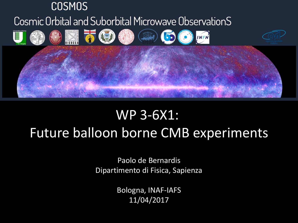

## WP 3‐6X1: Future balloon borne CMB experiments

Paolo de Bernardis Dipartimento di Fisica, Sapienza

> Bologna, INAF‐IAFS 11/04/2017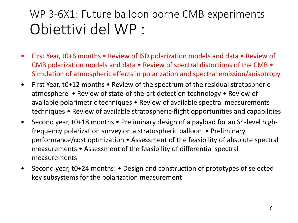## WP 3‐6X1: Future balloon borne CMB experiments Obiettivi del WP :

- $\bullet$  First Year, t0+6 months • Review of ISD polarization models and data • Review of CMB polarization models and data • Review of spectral distortions of the CMB • Simulation of atmospheric effects in polarization and spectral emission/anisotropy
- $\bullet$  First Year, t0+12 months • Review of the spectrum of the residual stratospheric atmosphere • Review of state‐of‐the‐art detection technology • Review of available polarimetric techniques • Review of available spectral measurements techniques • Review of available stratospheric‐flight opportunities and capabilities
- $\bullet$  Second year, t0+18 months • Preliminary design of a payload for an S4‐level high‐ frequency polarization survey on a stratospheric balloon • Preliminary performance/cost optmization • Assessment of the feasibility of absolute spectral measurements • Assessment of the feasibility of differential spectral measurements
- $\bullet$  Second year, t0+24 months: • Design and construction of prototypes of selected key subsystems for the polarization measurement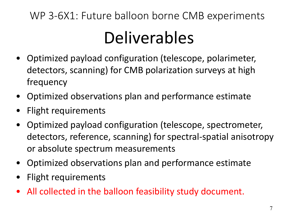## DeliverablesWP 3‐6X1: Future balloon borne CMB experiments

- Optimized payload configuration (telescope, polarimeter, detectors, scanning) for CMB polarization surveys at high frequency
- •Optimized observations plan and performance estimate
- •Flight requirements
- • Optimized payload configuration (telescope, spectrometer, detectors, reference, scanning) for spectral‐spatial anisotropy or absolute spectrum measurements
- Optimized observations plan and performance estimate
- •Flight requirements
- •All collected in the balloon feasibility study document.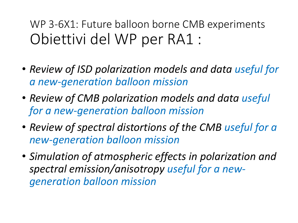WP 3‐6X1: Future balloon borne CMB experiments Obiettivi del WP per RA1 :

- *Review of ISD polarization models and data useful for a new‐generation balloon mission*
- *Review of CMB polarization models and data useful for a new‐generation balloon mission*
- *Review of spectral distortions of the CMB useful for a new‐generation balloon mission*
- *Simulation of atmospheric effects in polarization and spectral emission/anisotropy useful for a new‐ generation balloon mission*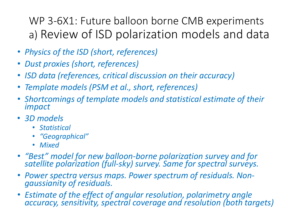WP 3‐6X1: Future balloon borne CMB experiments a) Review of ISD polarization models and data

- *Physics of the ISD (short, references)*
- •*Dust proxies (short, references)*
- •*ISD data (references, critical discussion on their accuracy)*
- •*Template models (PSM et al., short, references)*
- • *Shortcomings of template models and statistical estimate of their impact*
- *3D models*
	- *Statistical*
	- *"Geographical"*
	- *Mixed*
- "Best" model for new balloon-borne polarization survey and for *"Best" model for new balloon‐borne polarization survey and for satellite polarization (full‐sky) survey. Same for spectral surveys.*
- • *Power spectra versus maps. Power spectrum of residuals. Non‐ gaussianity of residuals.*
- *Estimate of the effect of angular resolution, polarimetry angle accuracy, sensitivity, spectral coverage and resolution (both targets)*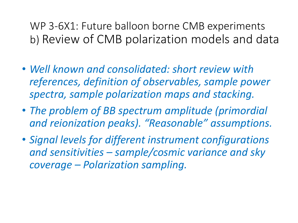WP 3‐6X1: Future balloon borne CMB experiments b) Review of CMB polarization models and data

- *Well known and consolidated: short review with references, definition of observables, sample power spectra, sample polarization maps and stacking.*
- *The problem of BB spectrum amplitude (primordial and reionization peaks). "Reasonable" assumptions.*
- *Signal levels for different instrument configurations and sensitivities – sample/cosmic variance and sky coverage – Polarization sampling.*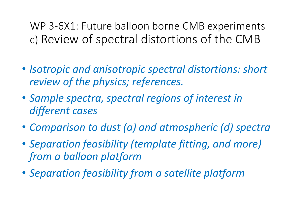WP 3‐6X1: Future balloon borne CMB experiments c) Review of spectral distortions of the CMB

- *Isotropic and anisotropic spectral distortions: short review of the physics; references.*
- *Sample spectra, spectral regions of interest in different cases*
- *Comparison to dust (a) and atmospheric (d) spectra*
- *Separation feasibility (template fitting, and more) from a balloon platform*
- *Separation feasibility from a satellite platform*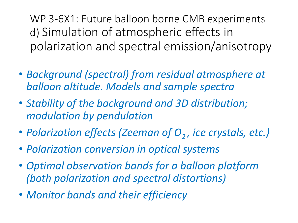WP 3‐6X1: Future balloon borne CMB experiments d) Simulation of atmospheric effects in polarization and spectral emission/anisotropy

- *Background (spectral) from residual atmosphere at balloon altitude. Models and sample spectra*
- *Stability of the background and 3D distribution; modulation by pendulation*
- *Polarization effects (Zeeman of O<sub>2</sub>, ice crystals, etc.)*
- *Polarization conversion in optical systems*
- *Optimal observation bands for a balloon platform (both polarization and spectral distortions)*
- *Monitor bands and their efficiency*